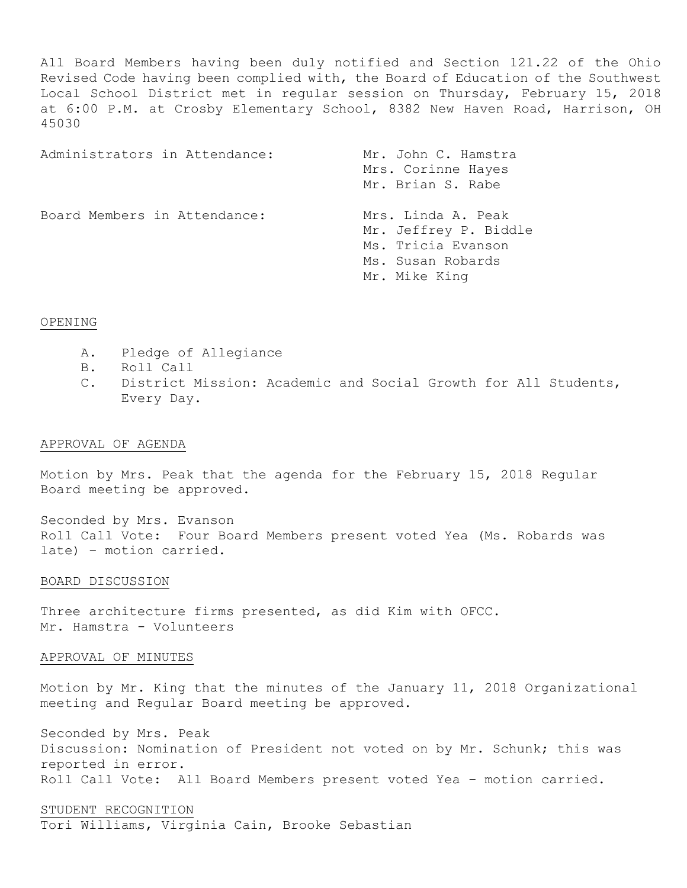All Board Members having been duly notified and Section 121.22 of the Ohio Revised Code having been complied with, the Board of Education of the Southwest Local School District met in regular session on Thursday, February 15, 2018 at 6:00 P.M. at Crosby Elementary School, 8382 New Haven Road, Harrison, OH 45030

| Administrators in Attendance: | Mr. John C. Hamstra<br>Mrs. Corinne Hayes<br>Mr. Brian S. Rabe                                          |
|-------------------------------|---------------------------------------------------------------------------------------------------------|
| Board Members in Attendance:  | Mrs. Linda A. Peak<br>Mr. Jeffrey P. Biddle<br>Ms. Tricia Evanson<br>Ms. Susan Robards<br>Mr. Mike King |

### OPENING

- A. Pledge of Allegiance
- B. Roll Call
- C. District Mission: Academic and Social Growth for All Students, Every Day.

## APPROVAL OF AGENDA

Motion by Mrs. Peak that the agenda for the February 15, 2018 Regular Board meeting be approved.

Seconded by Mrs. Evanson Roll Call Vote: Four Board Members present voted Yea (Ms. Robards was late) – motion carried.

### BOARD DISCUSSION

Three architecture firms presented, as did Kim with OFCC. Mr. Hamstra - Volunteers

### APPROVAL OF MINUTES

Motion by Mr. King that the minutes of the January 11, 2018 Organizational meeting and Regular Board meeting be approved.

Seconded by Mrs. Peak Discussion: Nomination of President not voted on by Mr. Schunk; this was reported in error. Roll Call Vote: All Board Members present voted Yea – motion carried.

## STUDENT RECOGNITION Tori Williams, Virginia Cain, Brooke Sebastian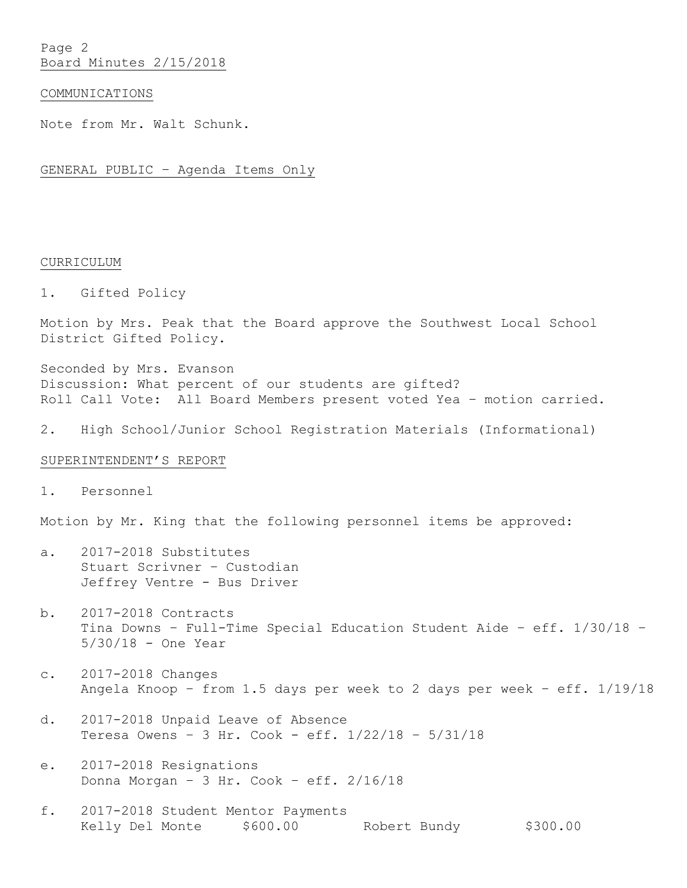Page 2 Board Minutes 2/15/2018

### COMMUNICATIONS

Note from Mr. Walt Schunk.

GENERAL PUBLIC – Agenda Items Only

### CURRICULUM

1. Gifted Policy

Motion by Mrs. Peak that the Board approve the Southwest Local School District Gifted Policy.

Seconded by Mrs. Evanson Discussion: What percent of our students are gifted? Roll Call Vote: All Board Members present voted Yea – motion carried.

2. High School/Junior School Registration Materials (Informational)

## SUPERINTENDENT'S REPORT

1. Personnel

Motion by Mr. King that the following personnel items be approved:

- a. 2017-2018 Substitutes Stuart Scrivner – Custodian Jeffrey Ventre - Bus Driver
- b. 2017-2018 Contracts Tina Downs – Full-Time Special Education Student Aide – eff. 1/30/18 – 5/30/18 - One Year
- c. 2017-2018 Changes Angela Knoop – from 1.5 days per week to 2 days per week – eff. 1/19/18
- d. 2017-2018 Unpaid Leave of Absence Teresa Owens – 3 Hr. Cook - eff. 1/22/18 – 5/31/18
- e. 2017-2018 Resignations Donna Morgan – 3 Hr. Cook – eff. 2/16/18
- f. 2017-2018 Student Mentor Payments Kelly Del Monte  $$600.00$  Robert Bundy  $$300.00$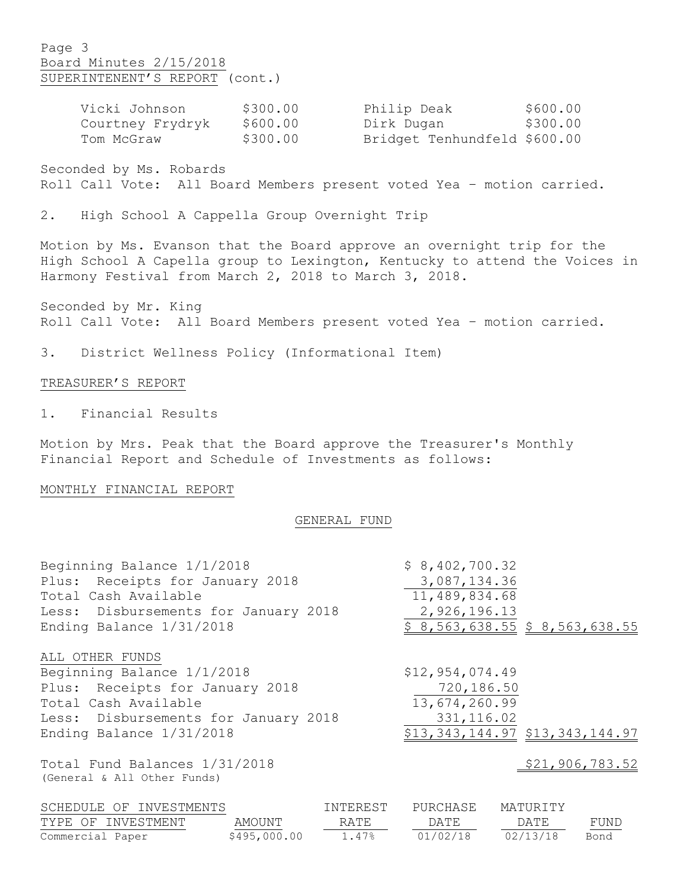# Page 3 Board Minutes 2/15/2018 SUPERINTENENT'S REPORT (cont.)

| Vicki Johnson    | \$300.00 | Philip Deak                  | \$600.00 |
|------------------|----------|------------------------------|----------|
| Courtney Frydryk | \$600.00 | Dirk Dugan                   | \$300.00 |
| Tom McGraw       | \$300.00 | Bridget Tenhundfeld \$600.00 |          |

Seconded by Ms. Robards Roll Call Vote: All Board Members present voted Yea – motion carried.

2. High School A Cappella Group Overnight Trip

Motion by Ms. Evanson that the Board approve an overnight trip for the High School A Capella group to Lexington, Kentucky to attend the Voices in Harmony Festival from March 2, 2018 to March 3, 2018.

Seconded by Mr. King Roll Call Vote: All Board Members present voted Yea – motion carried.

3. District Wellness Policy (Informational Item)

## TREASURER'S REPORT

1. Financial Results

Motion by Mrs. Peak that the Board approve the Treasurer's Monthly Financial Report and Schedule of Investments as follows:

## MONTHLY FINANCIAL REPORT

#### GENERAL FUND

| Beginning Balance 1/1/2018<br>Plus: Receipts for January 2018<br>Total Cash Available<br>Less: Disbursements for January 2018 |              |          | \$8,402,700.32<br>3,087,134.36<br>11,489,834.68<br>2,926,196.13 |          |                 |
|-------------------------------------------------------------------------------------------------------------------------------|--------------|----------|-----------------------------------------------------------------|----------|-----------------|
| Ending Balance 1/31/2018                                                                                                      |              |          | \$8,563,638.55 \$8,563,638.55                                   |          |                 |
| ALL OTHER FUNDS                                                                                                               |              |          |                                                                 |          |                 |
| Beginning Balance 1/1/2018                                                                                                    |              |          | \$12,954,074.49                                                 |          |                 |
| Plus: Receipts for January 2018                                                                                               |              |          | 720,186.50                                                      |          |                 |
| Total Cash Available                                                                                                          |              |          | 13,674,260.99                                                   |          |                 |
| Less: Disbursements for January 2018                                                                                          |              |          | 331, 116.02                                                     |          |                 |
| Ending Balance 1/31/2018                                                                                                      |              |          | \$13,343,144.97 \$13,343,144.97                                 |          |                 |
| Total Fund Balances 1/31/2018<br>(General & All Other Funds)                                                                  |              |          |                                                                 |          | \$21,906,783.52 |
| SCHEDULE OF INVESTMENTS                                                                                                       |              | INTEREST | PURCHASE                                                        | MATURITY |                 |
| TYPE OF INVESTMENT                                                                                                            | AMOUNT       | RATE     | DATE                                                            | DATE     | FUND            |
| Commercial Paper                                                                                                              | \$495,000.00 | 1.47%    | 01/02/18                                                        | 02/13/18 | Bond            |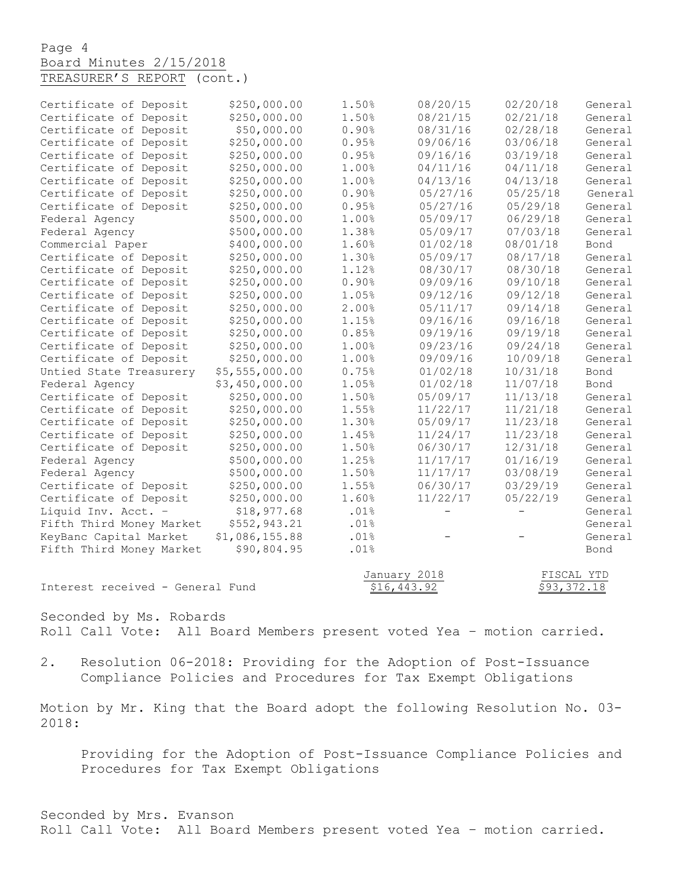Page 4 Board Minutes 2/15/2018 TREASURER'S REPORT (cont.)

| Certificate of Deposit   | \$250,000.00   | 1.50%        | 08/20/15          | 02/20/18                 | General |
|--------------------------|----------------|--------------|-------------------|--------------------------|---------|
| Certificate of Deposit   | \$250,000.00   | 1.50%        | 08/21/15          | 02/21/18                 | General |
| Certificate of Deposit   | \$50,000.00    | 0.90%        | 08/31/16          | 02/28/18                 | General |
| Certificate of Deposit   | \$250,000.00   | 0.95%        | 09/06/16          | 03/06/18                 | General |
| Certificate of Deposit   | \$250,000.00   | 0.95%        | 09/16/16          | 03/19/18                 | General |
| Certificate of Deposit   | \$250,000.00   | 1.00%        | 04/11/16          | 04/11/18                 | General |
| Certificate of Deposit   | \$250,000.00   | 1.00%        | 04/13/16          | 04/13/18                 | General |
| Certificate of Deposit   | \$250,000.00   | 0.90%        | 05/27/16          | 05/25/18                 | General |
| Certificate of Deposit   | \$250,000.00   | 0.95%        | 05/27/16          | 05/29/18                 | General |
| Federal Agency           | \$500,000.00   | 1.00%        | 05/09/17          | 06/29/18                 | General |
| Federal Agency           | \$500,000.00   | 1.38%        | 05/09/17          | 07/03/18                 | General |
| Commercial Paper         | \$400,000.00   | 1.60%        | 01/02/18          | 08/01/18                 | Bond    |
| Certificate of Deposit   | \$250,000.00   | 1.30%        | 05/09/17          | 08/17/18                 | General |
| Certificate of Deposit   | \$250,000.00   | 1.12%        | 08/30/17          | 08/30/18                 | General |
| Certificate of Deposit   | \$250,000.00   | 0.90%        | 09/09/16          | 09/10/18                 | General |
| Certificate of Deposit   | \$250,000.00   | 1.05%        | 09/12/16          | 09/12/18                 | General |
| Certificate of Deposit   | \$250,000.00   | 2.00%        | 05/11/17          | 09/14/18                 | General |
| Certificate of Deposit   | \$250,000.00   | 1.15%        | 09/16/16          | 09/16/18                 | General |
| Certificate of Deposit   | \$250,000.00   | 0.85%        | 09/19/16          | 09/19/18                 | General |
| Certificate of Deposit   | \$250,000.00   | 1.00%        | 09/23/16          | 09/24/18                 | General |
| Certificate of Deposit   | \$250,000.00   | 1.00%        | 09/09/16          | 10/09/18                 | General |
| Untied State Treasurery  | \$5,555,000.00 | 0.75%        | 01/02/18          | 10/31/18                 | Bond    |
| Federal Agency           | \$3,450,000.00 | 1.05%        | 01/02/18          | 11/07/18                 | Bond    |
| Certificate of Deposit   | \$250,000.00   | 1.50%        | 05/09/17          | 11/13/18                 | General |
| Certificate of Deposit   | \$250,000.00   | 1.55%        | 11/22/17          | 11/21/18                 | General |
| Certificate of Deposit   | \$250,000.00   | 1.30%        | 05/09/17          | 11/23/18                 | General |
| Certificate of Deposit   | \$250,000.00   | 1.45%        | 11/24/17          | 11/23/18                 | General |
| Certificate of Deposit   | \$250,000.00   | 1.50%        | 06/30/17          | 12/31/18                 | General |
| Federal Agency           | \$500,000.00   | 1.25%        | 11/17/17          | 01/16/19                 | General |
| Federal Agency           | \$500,000.00   | 1.50%        | 11/17/17          | 03/08/19                 | General |
| Certificate of Deposit   | \$250,000.00   | 1.55%        | 06/30/17          | 03/29/19                 | General |
| Certificate of Deposit   | \$250,000.00   | 1.60%        | 11/22/17          | 05/22/19                 | General |
| Liquid Inv. Acct. -      | \$18,977.68    | .01%         | $\qquad \qquad -$ | $\overline{\phantom{0}}$ | General |
| Fifth Third Money Market | \$552,943.21   | .01%         |                   |                          | General |
| KeyBanc Capital Market   | \$1,086,155.88 | .01%         |                   |                          | General |
| Fifth Third Money Market | \$90,804.95    | .01%         |                   |                          | Bond    |
|                          |                |              |                   |                          |         |
|                          |                | January 2018 |                   | FISCAL YTD               |         |

Interest received - General Fund  $\frac{$16,443.92}{}$  \$93,372.18

Seconded by Ms. Robards Roll Call Vote: All Board Members present voted Yea – motion carried.

2. Resolution 06-2018: Providing for the Adoption of Post-Issuance Compliance Policies and Procedures for Tax Exempt Obligations

Motion by Mr. King that the Board adopt the following Resolution No. 03- 2018:

Providing for the Adoption of Post-Issuance Compliance Policies and Procedures for Tax Exempt Obligations

Seconded by Mrs. Evanson Roll Call Vote: All Board Members present voted Yea – motion carried.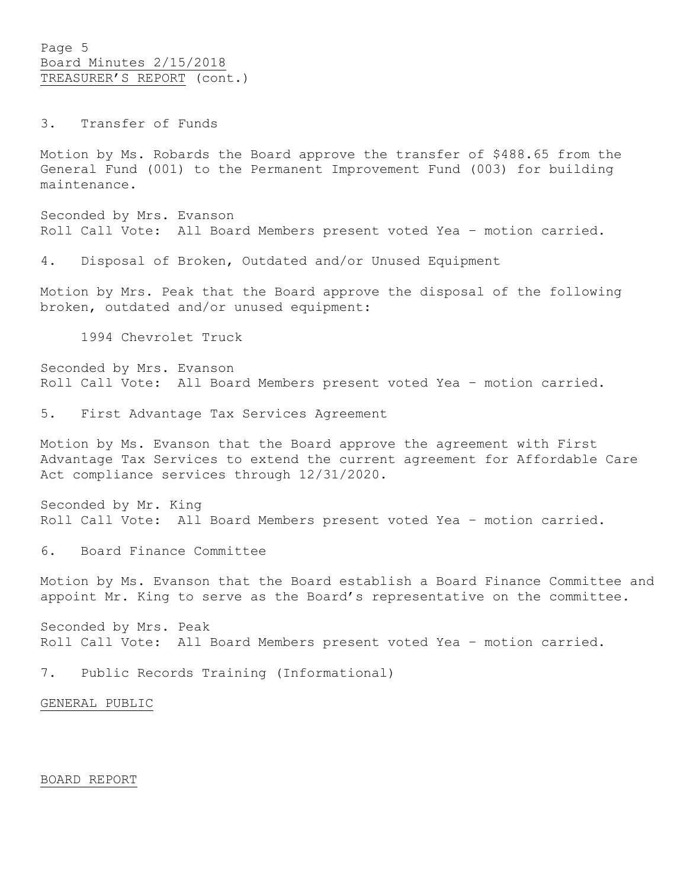Page 5 Board Minutes 2/15/2018 TREASURER'S REPORT (cont.)

3. Transfer of Funds

Motion by Ms. Robards the Board approve the transfer of \$488.65 from the General Fund (001) to the Permanent Improvement Fund (003) for building maintenance.

Seconded by Mrs. Evanson Roll Call Vote: All Board Members present voted Yea – motion carried.

4. Disposal of Broken, Outdated and/or Unused Equipment

Motion by Mrs. Peak that the Board approve the disposal of the following broken, outdated and/or unused equipment:

1994 Chevrolet Truck

Seconded by Mrs. Evanson Roll Call Vote: All Board Members present voted Yea – motion carried.

5. First Advantage Tax Services Agreement

Motion by Ms. Evanson that the Board approve the agreement with First Advantage Tax Services to extend the current agreement for Affordable Care Act compliance services through 12/31/2020.

Seconded by Mr. King Roll Call Vote: All Board Members present voted Yea – motion carried.

6. Board Finance Committee

Motion by Ms. Evanson that the Board establish a Board Finance Committee and appoint Mr. King to serve as the Board's representative on the committee.

Seconded by Mrs. Peak Roll Call Vote: All Board Members present voted Yea – motion carried.

7. Public Records Training (Informational)

GENERAL PUBLIC

### BOARD REPORT